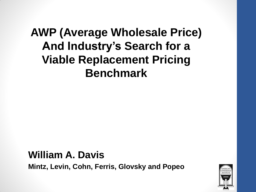#### **AWP (Average Wholesale Price) And Industry's Search for a Viable Replacement Pricing Benchmark**

**William A. Davis Mintz, Levin, Cohn, Ferris, Glovsky and Popeo**

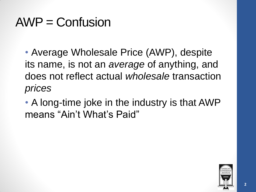## $AWP =$  Confusion

• Average Wholesale Price (AWP), despite its name, is not an *average* of anything, and does not reflect actual *wholesale* transaction *prices*

• A long-time joke in the industry is that AWP means "Ain't What's Paid"

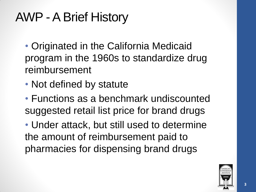## AWP -A Brief History

- Originated in the California Medicaid program in the 1960s to standardize drug reimbursement
- Not defined by statute
- Functions as a benchmark undiscounted suggested retail list price for brand drugs

• Under attack, but still used to determine the amount of reimbursement paid to pharmacies for dispensing brand drugs

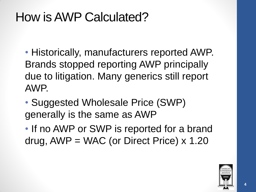### How is AWP Calculated?

• Historically, manufacturers reported AWP. Brands stopped reporting AWP principally due to litigation. Many generics still report AWP.

• Suggested Wholesale Price (SWP) generally is the same as AWP

• If no AWP or SWP is reported for a brand drug,  $AWP = WAC$  (or Direct Price)  $\times$  1.20

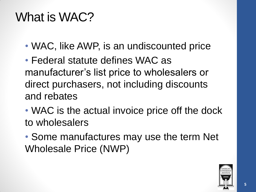### What is WAC?

• WAC, like AWP, is an undiscounted price

• Federal statute defines WAC as manufacturer's list price to wholesalers or direct purchasers, not including discounts and rebates

• WAC is the actual invoice price off the dock to wholesalers

• Some manufactures may use the term Net Wholesale Price (NWP)

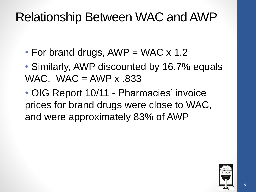### Relationship Between WAC and AWP

- For brand drugs,  $AWP = WAC \times 1.2$
- Similarly, AWP discounted by 16.7% equals WAC. WAC  $=$  AWP  $\times$  833

• OIG Report 10/11 - Pharmacies' invoice prices for brand drugs were close to WAC, and were approximately 83% of AWP

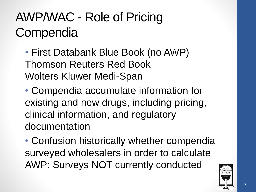# AWP/WAC - Role of Pricing **Compendia**

• First Databank Blue Book (no AWP) Thomson Reuters Red Book Wolters Kluwer Medi-Span

• Compendia accumulate information for existing and new drugs, including pricing, clinical information, and regulatory documentation

• Confusion historically whether compendia surveyed wholesalers in order to calculate AWP: Surveys NOT currently conducted

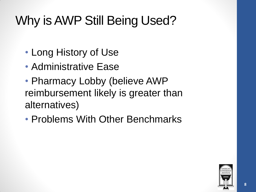## Why is AWP Still Being Used?

- Long History of Use
- Administrative Ease
- Pharmacy Lobby (believe AWP reimbursement likely is greater than alternatives)
- Problems With Other Benchmarks

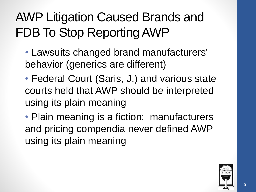# AWP Litigation Caused Brands and FDB To Stop Reporting AWP

- Lawsuits changed brand manufacturers' behavior (generics are different)
- Federal Court (Saris, J.) and various state courts held that AWP should be interpreted using its plain meaning
- Plain meaning is a fiction: manufacturers and pricing compendia never defined AWP using its plain meaning

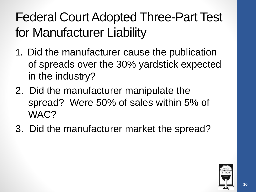# Federal Court Adopted Three-Part Test for Manufacturer Liability

- 1. Did the manufacturer cause the publication of spreads over the 30% yardstick expected in the industry?
- 2. Did the manufacturer manipulate the spread? Were 50% of sales within 5% of WAC?
- 3. Did the manufacturer market the spread?

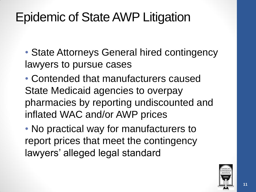## Epidemic of State AWP Litigation

• State Attorneys General hired contingency lawyers to pursue cases

• Contended that manufacturers caused State Medicaid agencies to overpay pharmacies by reporting undiscounted and inflated WAC and/or AWP prices

• No practical way for manufacturers to report prices that meet the contingency lawyers' alleged legal standard

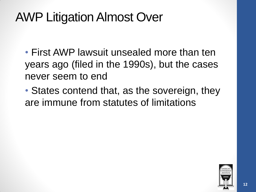### AWP Litigation Almost Over

- First AWP lawsuit unsealed more than ten years ago (filed in the 1990s), but the cases never seem to end
- States contend that, as the sovereign, they are immune from statutes of limitations

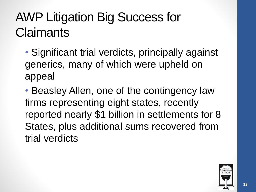## AWP Litigation Big Success for **Claimants**

• Significant trial verdicts, principally against generics, many of which were upheld on appeal

• Beasley Allen, one of the contingency law firms representing eight states, recently reported nearly \$1 billion in settlements for 8 States, plus additional sums recovered from trial verdicts

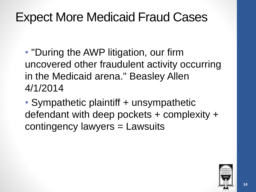### Expect More Medicaid Fraud Cases

• "During the AWP litigation, our firm uncovered other fraudulent activity occurring in the Medicaid arena." Beasley Allen 4/1/2014

• Sympathetic plaintiff + unsympathetic defendant with deep pockets + complexity + contingency lawyers = Lawsuits

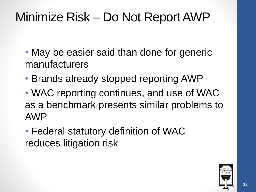## Minimize Risk – Do Not Report AWP

- May be easier said than done for generic manufacturers
- Brands already stopped reporting AWP
- WAC reporting continues, and use of WAC as a benchmark presents similar problems to AWP
- Federal statutory definition of WAC reduces litigation risk

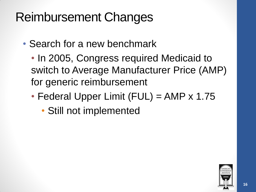## Reimbursement Changes

- Search for a new benchmark
	- In 2005, Congress required Medicaid to switch to Average Manufacturer Price (AMP) for generic reimbursement
	- Federal Upper Limit (FUL) = AMP x 1.75
		- Still not implemented

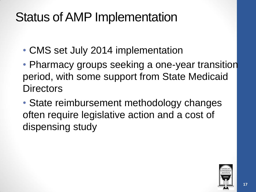### Status of AMP Implementation

- CMS set July 2014 implementation
- Pharmacy groups seeking a one-year transition period, with some support from State Medicaid **Directors**
- State reimbursement methodology changes often require legislative action and a cost of dispensing study

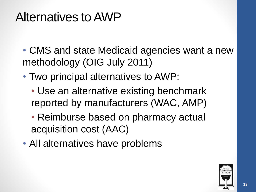### Alternatives to AWP

- CMS and state Medicaid agencies want a new methodology (OIG July 2011)
- Two principal alternatives to AWP:
	- Use an alternative existing benchmark reported by manufacturers (WAC, AMP)
	- Reimburse based on pharmacy actual acquisition cost (AAC)
- All alternatives have problems

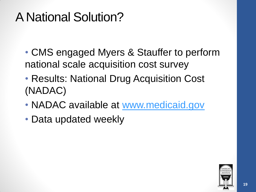## A National Solution?

- CMS engaged Myers & Stauffer to perform national scale acquisition cost survey
- Results: National Drug Acquisition Cost (NADAC)
- NADAC available at [www.medicaid.gov](http://www.medicaid.gov/)
- Data updated weekly

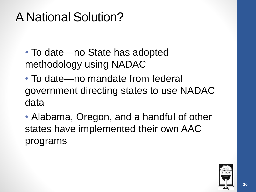## A National Solution?

- To date—no State has adopted methodology using NADAC
- To date—no mandate from federal government directing states to use NADAC data
- Alabama, Oregon, and a handful of other states have implemented their own AAC programs

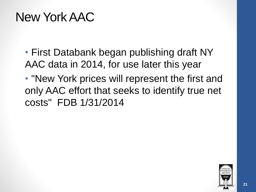### New York AAC

- First Databank began publishing draft NY AAC data in 2014, for use later this year
- "New York prices will represent the first and only AAC effort that seeks to identify true net costs" FDB 1/31/2014